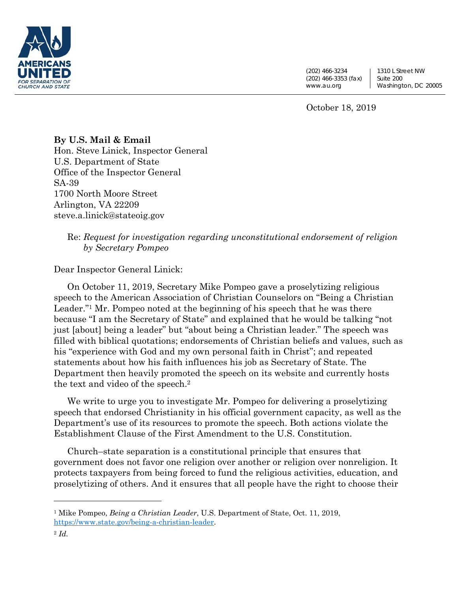

(202) 466-3234 (202) 466-3353 (fax) www.au.org

1310 L Street NW Suite 200 Washington, DC 20005

October 18, 2019

## **By U.S. Mail & Email**  Hon. Steve Linick, Inspector General U.S. Department of State Office of the Inspector General SA-39 1700 North Moore Street Arlington, VA 22209 steve.a.linick@stateoig.gov

## Re: *Request for investigation regarding unconstitutional endorsement of religion by Secretary Pompeo*

Dear Inspector General Linick:

On October 11, 2019, Secretary Mike Pompeo gave a proselytizing religious speech to the American Association of Christian Counselors on "Being a Christian Leader."1 Mr. Pompeo noted at the beginning of his speech that he was there because "I am the Secretary of State" and explained that he would be talking "not just [about] being a leader" but "about being a Christian leader." The speech was filled with biblical quotations; endorsements of Christian beliefs and values, such as his "experience with God and my own personal faith in Christ"; and repeated statements about how his faith influences his job as Secretary of State. The Department then heavily promoted the speech on its website and currently hosts the text and video of the speech.2

We write to urge you to investigate Mr. Pompeo for delivering a proselytizing speech that endorsed Christianity in his official government capacity, as well as the Department's use of its resources to promote the speech. Both actions violate the Establishment Clause of the First Amendment to the U.S. Constitution.

Church–state separation is a constitutional principle that ensures that government does not favor one religion over another or religion over nonreligion. It protects taxpayers from being forced to fund the religious activities, education, and proselytizing of others. And it ensures that all people have the right to choose their

<sup>1</sup> Mike Pompeo, *Being a Christian Leader*, U.S. Department of State, Oct. 11, 2019, https://www.state.gov/being-a-christian-leader.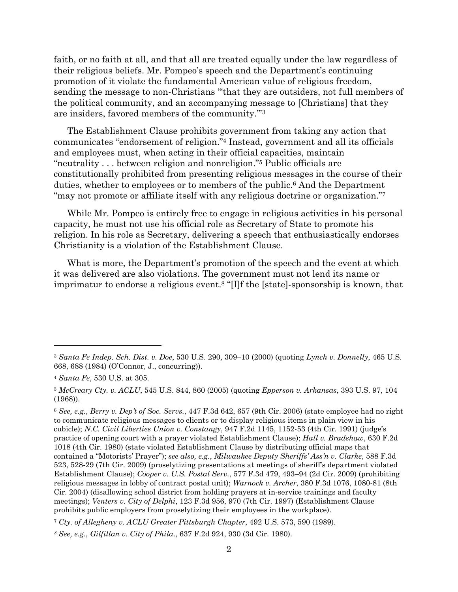faith, or no faith at all, and that all are treated equally under the law regardless of their religious beliefs. Mr. Pompeo's speech and the Department's continuing promotion of it violate the fundamental American value of religious freedom, sending the message to non-Christians "'that they are outsiders, not full members of the political community, and an accompanying message to [Christians] that they are insiders, favored members of the community.'"3

The Establishment Clause prohibits government from taking any action that communicates "endorsement of religion."4 Instead, government and all its officials and employees must, when acting in their official capacities, maintain "neutrality . . . between religion and nonreligion."5 Public officials are constitutionally prohibited from presenting religious messages in the course of their duties, whether to employees or to members of the public.6 And the Department "may not promote or affiliate itself with any religious doctrine or organization."7

While Mr. Pompeo is entirely free to engage in religious activities in his personal capacity, he must not use his official role as Secretary of State to promote his religion. In his role as Secretary, delivering a speech that enthusiastically endorses Christianity is a violation of the Establishment Clause.

What is more, the Department's promotion of the speech and the event at which it was delivered are also violations. The government must not lend its name or imprimatur to endorse a religious event.8 "[I]f the [state]-sponsorship is known, that

<sup>3</sup> *Santa Fe Indep. Sch. Dist. v. Doe*, 530 U.S. 290, 309–10 (2000) (quoting *Lynch v. Donnelly*, 465 U.S. 668, 688 (1984) (O'Connor, J., concurring)).

<sup>4</sup> *Santa Fe*, 530 U.S. at 305.

<sup>5</sup> *McCreary Cty. v. ACLU*, 545 U.S. 844, 860 (2005) (quoting *Epperson v. Arkansas*, 393 U.S. 97, 104 (1968)).

<sup>6</sup> *See, e.g.*, *Berry v. Dep't of Soc. Servs.*, 447 F.3d 642, 657 (9th Cir. 2006) (state employee had no right to communicate religious messages to clients or to display religious items in plain view in his cubicle); *N.C. Civil Liberties Union v. Constangy*, 947 F.2d 1145, 1152-53 (4th Cir. 1991) (judge's practice of opening court with a prayer violated Establishment Clause); *Hall v. Bradshaw*, 630 F.2d 1018 (4th Cir. 1980) (state violated Establishment Clause by distributing official maps that contained a "Motorists' Prayer"); *see also, e.g.*, *Milwaukee Deputy Sheriffs' Ass'n v. Clarke*, 588 F.3d 523, 528-29 (7th Cir. 2009) (proselytizing presentations at meetings of sheriff's department violated Establishment Clause); *Cooper v. U.S. Postal Serv.*, 577 F.3d 479, 493–94 (2d Cir. 2009) (prohibiting religious messages in lobby of contract postal unit); *Warnock v. Archer*, 380 F.3d 1076, 1080-81 (8th Cir. 2004) (disallowing school district from holding prayers at in-service trainings and faculty meetings); *Venters v. City of Delphi*, 123 F.3d 956, 970 (7th Cir. 1997) (Establishment Clause prohibits public employers from proselytizing their employees in the workplace).

<sup>7</sup> *Cty. of Allegheny v. ACLU Greater Pittsburgh Chapter*, 492 U.S. 573, 590 (1989).

*<sup>8</sup> See, e.g., Gilfillan v. City of Phila*., 637 F.2d 924, 930 (3d Cir. 1980).